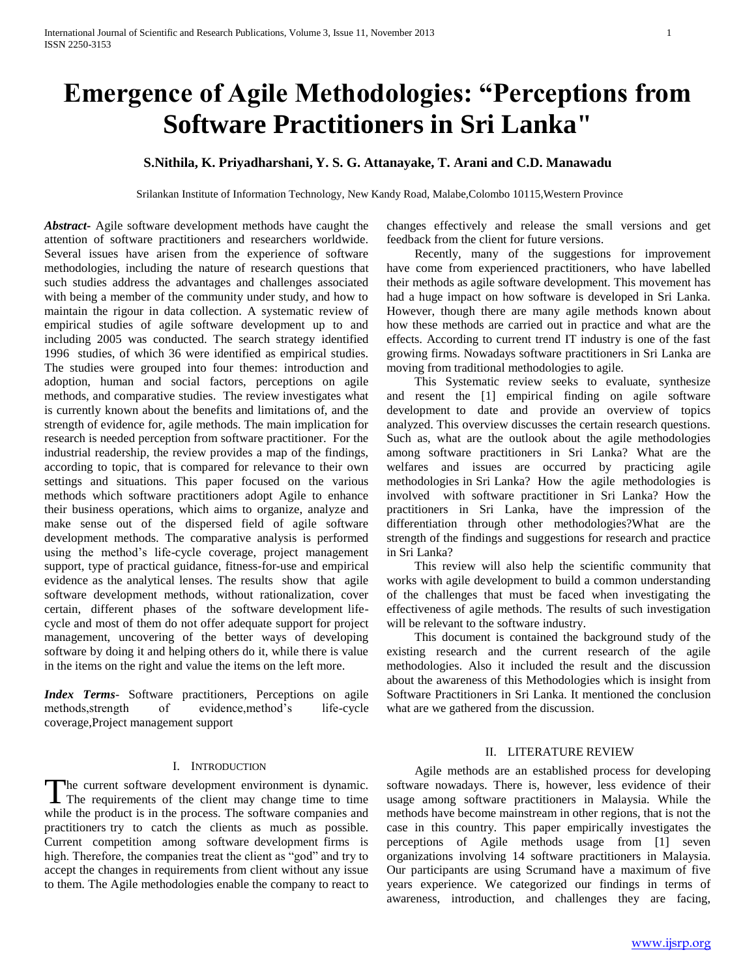# **Emergence of Agile Methodologies: "Perceptions from Software Practitioners in Sri Lanka"**

# **S.Nithila, K. Priyadharshani, Y. S. G. Attanayake, T. Arani and C.D. Manawadu**

Srilankan Institute of Information Technology, New Kandy Road, Malabe,Colombo 10115,Western Province

*Abstract***-** Agile software development methods have caught the attention of software practitioners and researchers worldwide. Several issues have arisen from the experience of software methodologies, including the nature of research questions that such studies address the advantages and challenges associated with being a member of the community under study, and how to maintain the rigour in data collection. A systematic review of empirical studies of agile software development up to and including 2005 was conducted. The search strategy identified 1996 studies, of which 36 were identified as empirical studies. The studies were grouped into four themes: introduction and adoption, human and social factors, perceptions on agile methods, and comparative studies. The review investigates what is currently known about the benefits and limitations of, and the strength of evidence for, agile methods. The main implication for research is needed perception from software practitioner. For the industrial readership, the review provides a map of the findings, according to topic, that is compared for relevance to their own settings and situations. This paper focused on the various methods which software practitioners adopt Agile to enhance their business operations, which aims to organize, analyze and make sense out of the dispersed field of agile software development methods. The comparative analysis is performed using the method's life-cycle coverage, project management support, type of practical guidance, fitness-for-use and empirical evidence as the analytical lenses. The results show that agile software development methods, without rationalization, cover certain, different phases of the software development lifecycle and most of them do not offer adequate support for project management, uncovering of the better ways of developing software by doing it and helping others do it, while there is value in the items on the right and value the items on the left more.

*Index Terms*- Software practitioners, Perceptions on agile methods,strength of evidence,method's life-cycle coverage,Project management support

#### I. INTRODUCTION

The current software development environment is dynamic. The current software development environment is dynamic.<br>The requirements of the client may change time to time while the product is in the process. The software companies and practitioners try to catch the clients as much as possible. Current competition among software development firms is high. Therefore, the companies treat the client as "god" and try to accept the changes in requirements from client without any issue to them. The Agile methodologies enable the company to react to

changes effectively and release the small versions and get feedback from the client for future versions.

 Recently, many of the suggestions for improvement have come from experienced practitioners, who have labelled their methods as agile software development. This movement has had a huge impact on how software is developed in Sri Lanka. However, though there are many agile methods known about how these methods are carried out in practice and what are the effects. According to current trend IT industry is one of the fast growing firms. Nowadays software practitioners in Sri Lanka are moving from traditional methodologies to agile.

 This Systematic review seeks to evaluate, synthesize and resent the [1] empirical finding on agile software development to date and provide an overview of topics analyzed. This overview discusses the certain research questions. Such as, what are the outlook about the agile methodologies among software practitioners in Sri Lanka? What are the welfares and issues are occurred by practicing agile methodologies in Sri Lanka? How the agile methodologies is involved with software practitioner in Sri Lanka? How the practitioners in Sri Lanka, have the impression of the differentiation through other methodologies?What are the strength of the findings and suggestions for research and practice in Sri Lanka?

 This review will also help the scientific community that works with agile development to build a common understanding of the challenges that must be faced when investigating the effectiveness of agile methods. The results of such investigation will be relevant to the software industry.

 This document is contained the background study of the existing research and the current research of the agile methodologies. Also it included the result and the discussion about the awareness of this Methodologies which is insight from Software Practitioners in Sri Lanka. It mentioned the conclusion what are we gathered from the discussion.

### II. LITERATURE REVIEW

 Agile methods are an established process for developing software nowadays. There is, however, less evidence of their usage among software practitioners in Malaysia. While the methods have become mainstream in other regions, that is not the case in this country. This paper empirically investigates the perceptions of Agile methods usage from [1] seven organizations involving 14 software practitioners in Malaysia. Our participants are using Scrumand have a maximum of five years experience. We categorized our findings in terms of awareness, introduction, and challenges they are facing,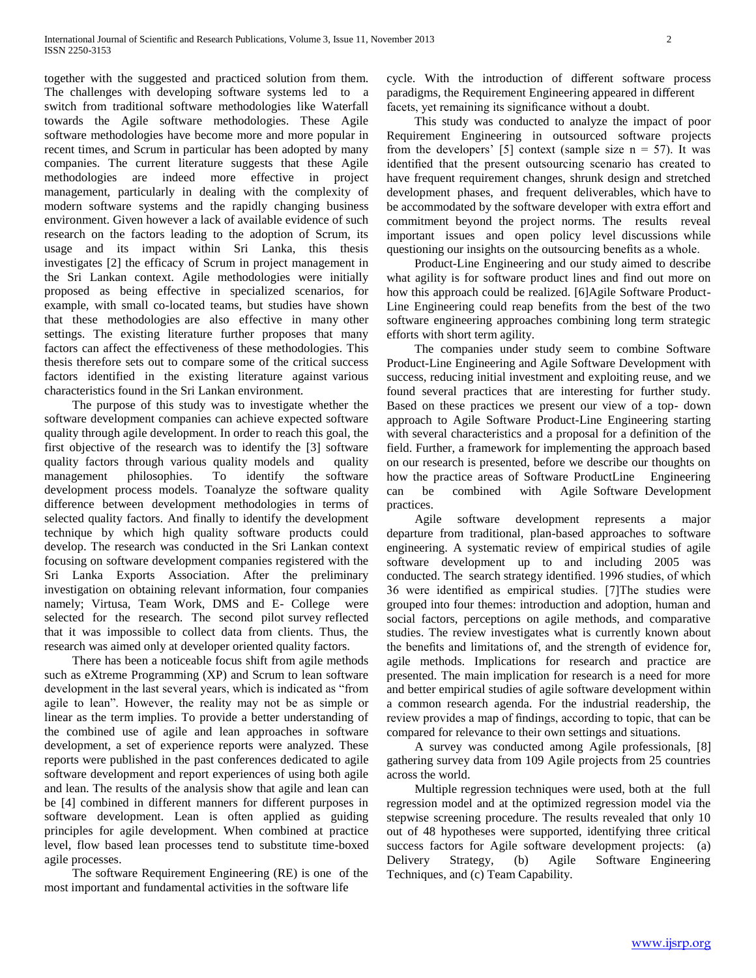together with the suggested and practiced solution from them. The challenges with developing software systems led to a switch from traditional software methodologies like Waterfall towards the Agile software methodologies. These Agile software methodologies have become more and more popular in recent times, and Scrum in particular has been adopted by many companies. The current literature suggests that these Agile methodologies are indeed more effective in project management, particularly in dealing with the complexity of modern software systems and the rapidly changing business environment. Given however a lack of available evidence of such research on the factors leading to the adoption of Scrum, its usage and its impact within Sri Lanka, this thesis investigates [2] the efficacy of Scrum in project management in the Sri Lankan context. Agile methodologies were initially proposed as being effective in specialized scenarios, for example, with small co-located teams, but studies have shown that these methodologies are also effective in many other settings. The existing literature further proposes that many factors can affect the effectiveness of these methodologies. This thesis therefore sets out to compare some of the critical success factors identified in the existing literature against various characteristics found in the Sri Lankan environment.

 The purpose of this study was to investigate whether the software development companies can achieve expected software quality through agile development. In order to reach this goal, the first objective of the research was to identify the [3] software quality factors through various quality models and quality management philosophies. To identify the software development process models. Toanalyze the software quality difference between development methodologies in terms of selected quality factors. And finally to identify the development technique by which high quality software products could develop. The research was conducted in the Sri Lankan context focusing on software development companies registered with the Sri Lanka Exports Association. After the preliminary investigation on obtaining relevant information, four companies namely; Virtusa, Team Work, DMS and E- College were selected for the research. The second pilot survey reflected that it was impossible to collect data from clients. Thus, the research was aimed only at developer oriented quality factors.

 There has been a noticeable focus shift from agile methods such as eXtreme Programming (XP) and Scrum to lean software development in the last several years, which is indicated as "from agile to lean". However, the reality may not be as simple or linear as the term implies. To provide a better understanding of the combined use of agile and lean approaches in software development, a set of experience reports were analyzed. These reports were published in the past conferences dedicated to agile software development and report experiences of using both agile and lean. The results of the analysis show that agile and lean can be [4] combined in different manners for different purposes in software development. Lean is often applied as guiding principles for agile development. When combined at practice level, flow based lean processes tend to substitute time-boxed agile processes.

 The software Requirement Engineering (RE) is one of the most important and fundamental activities in the software life

cycle. With the introduction of different software process paradigms, the Requirement Engineering appeared in different facets, yet remaining its significance without a doubt.

 This study was conducted to analyze the impact of poor Requirement Engineering in outsourced software projects from the developers' [5] context (sample size  $n = 57$ ). It was identified that the present outsourcing scenario has created to have frequent requirement changes, shrunk design and stretched development phases, and frequent deliverables, which have to be accommodated by the software developer with extra effort and commitment beyond the project norms. The results reveal important issues and open policy level discussions while questioning our insights on the outsourcing benefits as a whole.

 Product-Line Engineering and our study aimed to describe what agility is for software product lines and find out more on how this approach could be realized. [6]Agile Software Product-Line Engineering could reap benefits from the best of the two software engineering approaches combining long term strategic efforts with short term agility.

 The companies under study seem to combine Software Product-Line Engineering and Agile Software Development with success, reducing initial investment and exploiting reuse, and we found several practices that are interesting for further study. Based on these practices we present our view of a top- down approach to Agile Software Product-Line Engineering starting with several characteristics and a proposal for a definition of the field. Further, a framework for implementing the approach based on our research is presented, before we describe our thoughts on how the practice areas of Software ProductLine Engineering can be combined with Agile Software Development practices.

 Agile software development represents a major departure from traditional, plan-based approaches to software engineering. A systematic review of empirical studies of agile software development up to and including 2005 was conducted. The search strategy identified. 1996 studies, of which 36 were identified as empirical studies. [7]The studies were grouped into four themes: introduction and adoption, human and social factors, perceptions on agile methods, and comparative studies. The review investigates what is currently known about the benefits and limitations of, and the strength of evidence for, agile methods. Implications for research and practice are presented. The main implication for research is a need for more and better empirical studies of agile software development within a common research agenda. For the industrial readership, the review provides a map of findings, according to topic, that can be compared for relevance to their own settings and situations.

 A survey was conducted among Agile professionals, [8] gathering survey data from 109 Agile projects from 25 countries across the world.

 Multiple regression techniques were used, both at the full regression model and at the optimized regression model via the stepwise screening procedure. The results revealed that only 10 out of 48 hypotheses were supported, identifying three critical success factors for Agile software development projects: (a) Delivery Strategy, (b) Agile Software Engineering Techniques, and (c) Team Capability.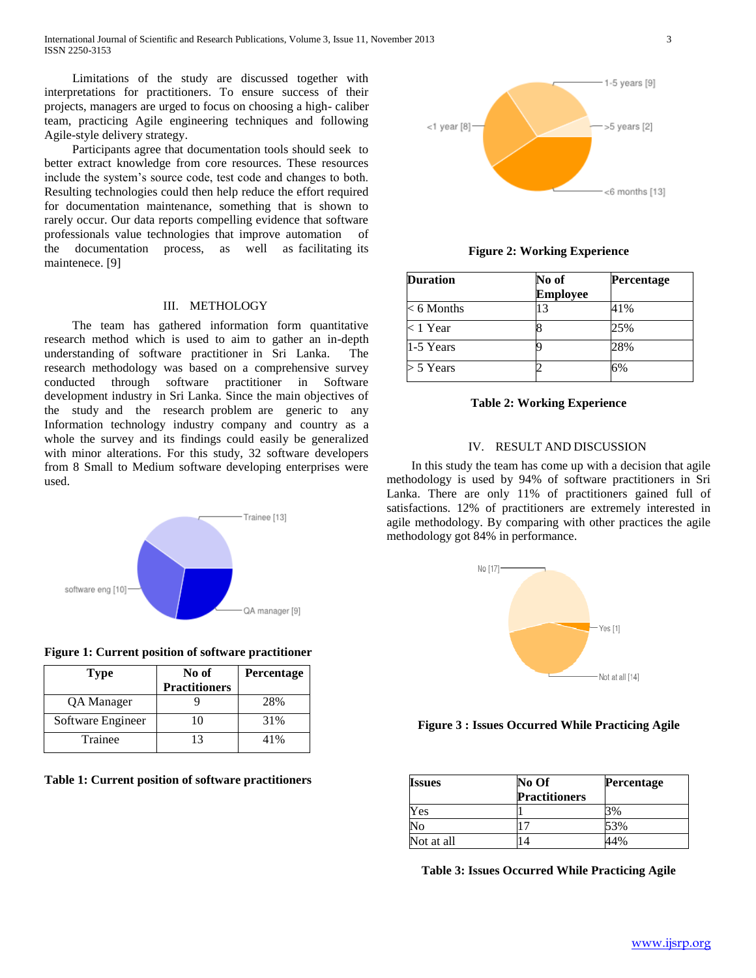Limitations of the study are discussed together with interpretations for practitioners. To ensure success of their projects, managers are urged to focus on choosing a high- caliber team, practicing Agile engineering techniques and following Agile-style delivery strategy.

 Participants agree that documentation tools should seek to better extract knowledge from core resources. These resources include the system's source code, test code and changes to both. Resulting technologies could then help reduce the effort required for documentation maintenance, something that is shown to rarely occur. Our data reports compelling evidence that software professionals value technologies that improve automation of the documentation process, as well as facilitating its maintenece. [9]

#### III. METHOLOGY

 The team has gathered information form quantitative research method which is used to aim to gather an in-depth understanding of software practitioner in Sri Lanka. The research methodology was based on a comprehensive survey conducted through software practitioner in Software development industry in Sri Lanka. Since the main objectives of the study and the research problem are generic to any Information technology industry company and country as a whole the survey and its findings could easily be generalized with minor alterations. For this study, 32 software developers from 8 Small to Medium software developing enterprises were used.



**Figure 1: Current position of software practitioner**

| Type              | No of<br><b>Practitioners</b> | Percentage |
|-------------------|-------------------------------|------------|
| QA Manager        |                               | 28%        |
| Software Engineer |                               | 31%        |
| Trainee           |                               | 41%        |

**Table 1: Current position of software practitioners**



**Figure 2: Working Experience**

| <b>Duration</b> | No of<br><b>Employee</b> | Percentage |  |
|-----------------|--------------------------|------------|--|
| $< 6$ Months    | 13                       | 41%        |  |
| $< 1$ Year      |                          | 25%        |  |
| 1-5 Years       |                          | 28%        |  |
| $>$ 5 Years     |                          | 6%         |  |

## **Table 2: Working Experience**

## IV. RESULT AND DISCUSSION

 In this study the team has come up with a decision that agile methodology is used by 94% of software practitioners in Sri Lanka. There are only 11% of practitioners gained full of satisfactions. 12% of practitioners are extremely interested in agile methodology. By comparing with other practices the agile methodology got 84% in performance.



### **Figure 3 : Issues Occurred While Practicing Agile**

| <b>Issues</b> | No Of                | <b>Percentage</b> |
|---------------|----------------------|-------------------|
|               | <b>Practitioners</b> |                   |
| Yes           |                      | 3%                |
| No            |                      | 53%               |
| Not at all    |                      | 14%               |

**Table 3: Issues Occurred While Practicing Agile**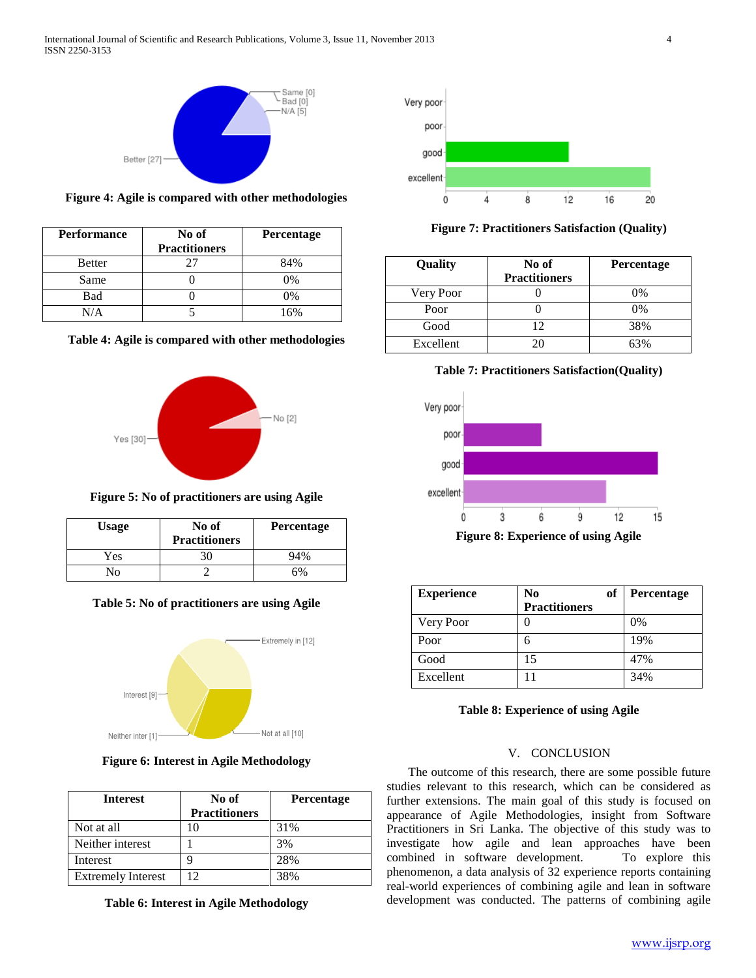

**Figure 4: Agile is compared with other methodologies**

| Performance | No of                | Percentage |
|-------------|----------------------|------------|
|             | <b>Practitioners</b> |            |
| Better      |                      | 84%        |
| Same        |                      | 0%         |
| Bad         |                      | 0%         |
|             |                      | 6%         |





**Figure 5: No of practitioners are using Agile**

| <b>Usage</b> | No of<br><b>Practitioners</b> | Percentage |
|--------------|-------------------------------|------------|
| Yes          |                               | 94%        |
| √օ           |                               |            |





## **Figure 6: Interest in Agile Methodology**

| <b>Interest</b>           | No of<br><b>Practitioners</b> | Percentage |
|---------------------------|-------------------------------|------------|
| Not at all                |                               | 31%        |
| Neither interest          |                               | 3%         |
| Interest                  |                               | 28%        |
| <b>Extremely Interest</b> | 12                            | 38%        |

**Table 6: Interest in Agile Methodology**





| Quality   | No of<br><b>Practitioners</b> | <b>Percentage</b> |
|-----------|-------------------------------|-------------------|
| Very Poor |                               | 0%                |
| Poor      |                               | 0%                |
| Good      | 12                            | 38%               |
| Excellent |                               | 63%               |

**Table 7: Practitioners Satisfaction(Quality)**



**Figure 8: Experience of using Agile**

| <b>Experience</b> | No                   | of | Percentage |
|-------------------|----------------------|----|------------|
|                   | <b>Practitioners</b> |    |            |
| Very Poor         |                      |    | $0\%$      |
| Poor              | რ                    |    | 19%        |
| Good              | 15                   |    | 47%        |
| Excellent         |                      |    | 34%        |

## **Table 8: Experience of using Agile**

## V. CONCLUSION

 The outcome of this research, there are some possible future studies relevant to this research, which can be considered as further extensions. The main goal of this study is focused on appearance of Agile Methodologies, insight from Software Practitioners in Sri Lanka. The objective of this study was to investigate how agile and lean approaches have been combined in software development. To explore this phenomenon, a data analysis of 32 experience reports containing real-world experiences of combining agile and lean in software development was conducted. The patterns of combining agile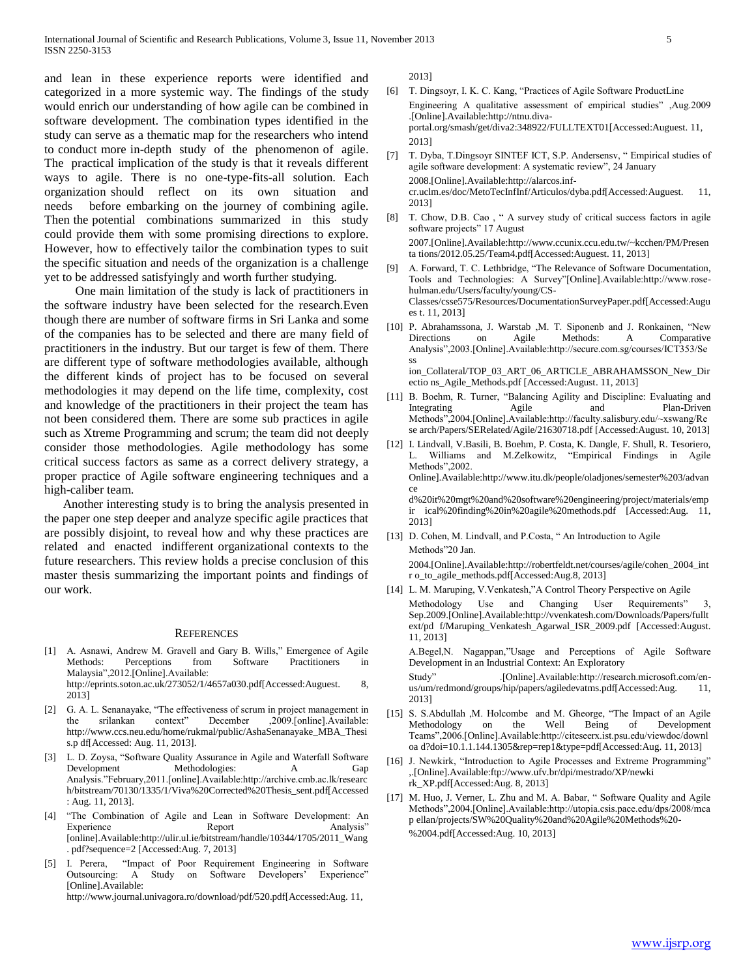and lean in these experience reports were identified and categorized in a more systemic way. The findings of the study would enrich our understanding of how agile can be combined in software development. The combination types identified in the study can serve as a thematic map for the researchers who intend to conduct more in-depth study of the phenomenon of agile. The practical implication of the study is that it reveals different ways to agile. There is no one-type-fits-all solution. Each organization should reflect on its own situation and needs before embarking on the journey of combining agile. Then the potential combinations summarized in this study could provide them with some promising directions to explore. However, how to effectively tailor the combination types to suit the specific situation and needs of the organization is a challenge yet to be addressed satisfyingly and worth further studying.

 One main limitation of the study is lack of practitioners in the software industry have been selected for the research.Even though there are number of software firms in Sri Lanka and some of the companies has to be selected and there are many field of practitioners in the industry. But our target is few of them. There are different type of software methodologies available, although the different kinds of project has to be focused on several methodologies it may depend on the life time, complexity, cost and knowledge of the practitioners in their project the team has not been considered them. There are some sub practices in agile such as Xtreme Programming and scrum; the team did not deeply consider those methodologies. Agile methodology has some critical success factors as same as a correct delivery strategy, a proper practice of Agile software engineering techniques and a high-caliber team.

 Another interesting study is to bring the analysis presented in the paper one step deeper and analyze specific agile practices that are possibly disjoint, to reveal how and why these practices are related and enacted indifferent organizational contexts to the future researchers. This review holds a precise conclusion of this master thesis summarizing the important points and findings of our work.

#### **REFERENCES**

- [1] A. Asnawi, Andrew M. Gravell and Gary B. Wills," Emergence of Agile Methods: Perceptions from Software Practitioners in Malaysia",2012.[Online].Available: http://eprints.soton.ac.uk/273052/1/4657a030.pdf[Accessed:Auguest. 8, 2013]
- [2] G. A. L. Senanayake, "The effectiveness of scrum in project management in the srilankan context" December ,2009.[online].Available: http://www.ccs.neu.edu/home/rukmal/public/AshaSenanayake\_MBA\_Thesi s.p df[Accessed: Aug. 11, 2013].
- [3] L. D. Zoysa, "Software Quality Assurance in Agile and Waterfall Software Development Methodologies: A Gap Analysis."February,2011.[online].Available:http://archive.cmb.ac.lk/researc h/bitstream/70130/1335/1/Viva%20Corrected%20Thesis\_sent.pdf[Accessed : Aug. 11, 2013].
- [4] "The Combination of Agile and Lean in Software Development: An Experience Report Report Analysis" [online].Available:http://ulir.ul.ie/bitstream/handle/10344/1705/2011\_Wang . pdf?sequence=2 [Accessed:Aug. 7, 2013]
- [5] I. Perera, "Impact of Poor Requirement Engineering in Software Outsourcing: A Study on Software Developers' Experience" [Online].Available: http://www.journal.univagora.ro/download/pdf/520.pdf[Accessed:Aug. 11,

2013]

- [6] T. Dingsoyr, I. K. C. Kang, "Practices of Agile Software ProductLine Engineering A qualitative assessment of empirical studies" ,Aug.2009 .[Online].Available:http://ntnu.divaportal.org/smash/get/diva2:348922/FULLTEXT01[Accessed:Auguest. 11, 2013]
- [7] T. Dyba, T.Dingsoyr SINTEF ICT, S.P. Andersensv, " Empirical studies of agile software development: A systematic review", 24 January 2008.[Online].Available:http://alarcos.infcr.uclm.es/doc/MetoTecInfInf/Articulos/dyba.pdf[Accessed:Auguest. 11, 2013]
- [8] T. Chow, D.B. Cao, " A survey study of critical success factors in agile software projects" 17 August 2007.[Online].Available:http://www.ccunix.ccu.edu.tw/~kcchen/PM/Presen ta tions/2012.05.25/Team4.pdf[Accessed:Auguest. 11, 2013]
- [9] A. Forward, T. C. Lethbridge, "The Relevance of Software Documentation, Tools and Technologies: A Survey"[Online].Available:http://www.rosehulman.edu/Users/faculty/young/CS-Classes/csse575/Resources/DocumentationSurveyPaper.pdf[Accessed:Augu es t. 11, 2013]
- [10] P. Abrahamssona, J. Warstab ,M. T. Siponenb and J. Ronkainen, "New Directions on Agile Methods: A Comparative Analysis",2003.[Online].Available:http://secure.com.sg/courses/ICT353/Se ss ion\_Collateral/TOP\_03\_ART\_06\_ARTICLE\_ABRAHAMSSON\_New\_Dir ectio ns\_Agile\_Methods.pdf [Accessed:August. 11, 2013]
- [11] B. Boehm, R. Turner, "Balancing Agility and Discipline: Evaluating and Integrating Agile and Plan-Driven Methods",2004.[Online].Available:http://faculty.salisbury.edu/~xswang/Re se arch/Papers/SERelated/Agile/21630718.pdf [Accessed:August. 10, 2013]
- [12] I. Lindvall, V.Basili, B. Boehm, P. Costa, K. Dangle, F. Shull, R. Tesoriero, Williams and M.Zelkowitz, "Empirical Findings in Agile Methods",2002. Online].Available:http://www.itu.dk/people/oladjones/semester%203/advan ce d%20it%20mgt%20and%20software%20engineering/project/materials/emp

ir ical%20finding%20in%20agile%20methods.pdf [Accessed:Aug. 11, 2013]

[13] D. Cohen, M. Lindvall, and P.Costa, "An Introduction to Agile Methods"20 Jan.

2004.[Online].Available:http://robertfeldt.net/courses/agile/cohen\_2004\_int r o\_to\_agile\_methods.pdf[Accessed:Aug.8, 2013]

[14] L. M. Maruping, V. Venkatesh,"A Control Theory Perspective on Agile Methodology Use and Changing User Requirements" 3, Sep.2009.[Online].Available:http://vvenkatesh.com/Downloads/Papers/fullt ext/pd f/Maruping\_Venkatesh\_Agarwal\_ISR\_2009.pdf [Accessed:August.

11, 2013] A.Begel,N. Nagappan,"Usage and Perceptions of Agile Software Development in an Industrial Context: An Exploratory

Study" .[Online].Available:http://research.microsoft.com/enus/um/redmond/groups/hip/papers/agiledevatms.pdf[Accessed:Aug. 11, 2013]

- [15] S. S.Abdullah ,M. Holcombe and M. Gheorge, "The Impact of an Agile Methodology on the Well Being of Development Teams",2006.[Online].Available:http://citeseerx.ist.psu.edu/viewdoc/downl oa d?doi=10.1.1.144.1305&rep=rep1&type=pdf[Accessed:Aug. 11, 2013]
- [16] J. Newkirk, "Introduction to Agile Processes and Extreme Programming" ,.[Online].Available:ftp://www.ufv.br/dpi/mestrado/XP/newki rk\_XP.pdf[Accessed:Aug. 8, 2013]
- [17] M. Huo, J. Verner, L. Zhu and M. A. Babar, " Software Quality and Agile Methods",2004.[Online].Available:http://utopia.csis.pace.edu/dps/2008/mca p ellan/projects/SW%20Quality%20and%20Agile%20Methods%20- %2004.pdf[Accessed:Aug. 10, 2013]